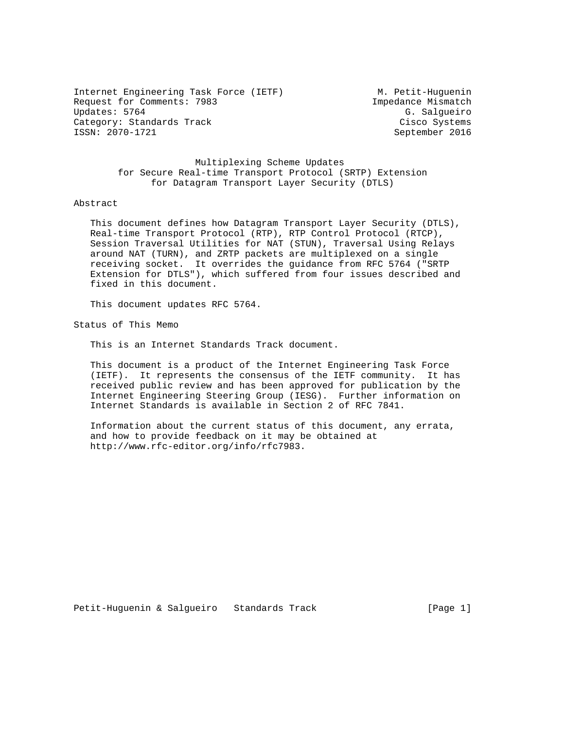Internet Engineering Task Force (IETF) M. Petit-Huguenin Request for Comments: 7983 Impedance Mismatch Updates: 5764 G. Salgueiro Category: Standards Track Cisco Systems Cisco Systems<br>
Cisco Systems<br>
Cisco Systems<br>
Cisco Systems<br>
Cisco Systems

September 2016

 Multiplexing Scheme Updates for Secure Real-time Transport Protocol (SRTP) Extension for Datagram Transport Layer Security (DTLS)

#### Abstract

 This document defines how Datagram Transport Layer Security (DTLS), Real-time Transport Protocol (RTP), RTP Control Protocol (RTCP), Session Traversal Utilities for NAT (STUN), Traversal Using Relays around NAT (TURN), and ZRTP packets are multiplexed on a single receiving socket. It overrides the guidance from RFC 5764 ("SRTP Extension for DTLS"), which suffered from four issues described and fixed in this document.

This document updates RFC 5764.

Status of This Memo

This is an Internet Standards Track document.

 This document is a product of the Internet Engineering Task Force (IETF). It represents the consensus of the IETF community. It has received public review and has been approved for publication by the Internet Engineering Steering Group (IESG). Further information on Internet Standards is available in Section 2 of RFC 7841.

 Information about the current status of this document, any errata, and how to provide feedback on it may be obtained at http://www.rfc-editor.org/info/rfc7983.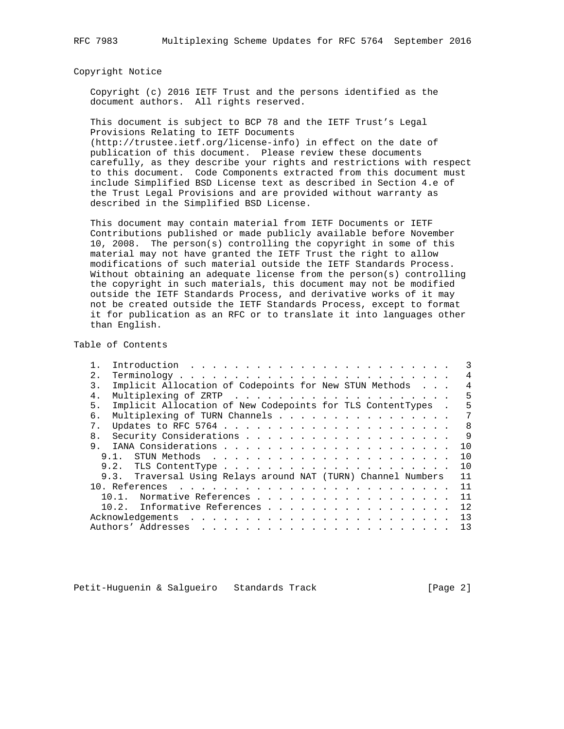Copyright Notice

 Copyright (c) 2016 IETF Trust and the persons identified as the document authors. All rights reserved.

 This document is subject to BCP 78 and the IETF Trust's Legal Provisions Relating to IETF Documents (http://trustee.ietf.org/license-info) in effect on the date of publication of this document. Please review these documents carefully, as they describe your rights and restrictions with respect

 to this document. Code Components extracted from this document must include Simplified BSD License text as described in Section 4.e of the Trust Legal Provisions and are provided without warranty as described in the Simplified BSD License.

 This document may contain material from IETF Documents or IETF Contributions published or made publicly available before November 10, 2008. The person(s) controlling the copyright in some of this material may not have granted the IETF Trust the right to allow modifications of such material outside the IETF Standards Process. Without obtaining an adequate license from the person(s) controlling the copyright in such materials, this document may not be modified outside the IETF Standards Process, and derivative works of it may not be created outside the IETF Standards Process, except to format it for publication as an RFC or to translate it into languages other than English.

Table of Contents

| 2.             |                                                               | $\overline{4}$ |
|----------------|---------------------------------------------------------------|----------------|
| 3.             | Implicit Allocation of Codepoints for New STUN Methods        | 4              |
| $4$ .          |                                                               | 5              |
| 5.             | Implicit Allocation of New Codepoints for TLS ContentTypes .  | 5              |
| б.             | Multiplexing of TURN Channels                                 | 7              |
| 7 <sub>1</sub> |                                                               | -8             |
| 8 <sub>1</sub> |                                                               | 9              |
| 9.             |                                                               | 10             |
|                |                                                               | 10             |
|                |                                                               | 10             |
|                | 9.3. Traversal Using Relays around NAT (TURN) Channel Numbers | 11             |
|                |                                                               | 11             |
|                | Normative References<br>$10.1$ .                              | 11             |
|                | 10.2. Informative References                                  | 12             |
|                |                                                               | 13             |
|                |                                                               | 13             |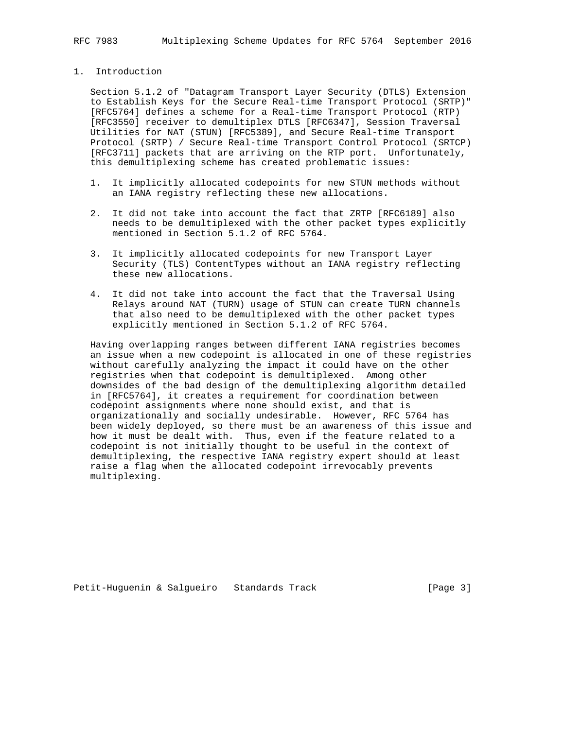### 1. Introduction

 Section 5.1.2 of "Datagram Transport Layer Security (DTLS) Extension to Establish Keys for the Secure Real-time Transport Protocol (SRTP)" [RFC5764] defines a scheme for a Real-time Transport Protocol (RTP) [RFC3550] receiver to demultiplex DTLS [RFC6347], Session Traversal Utilities for NAT (STUN) [RFC5389], and Secure Real-time Transport Protocol (SRTP) / Secure Real-time Transport Control Protocol (SRTCP) [RFC3711] packets that are arriving on the RTP port. Unfortunately, this demultiplexing scheme has created problematic issues:

- 1. It implicitly allocated codepoints for new STUN methods without an IANA registry reflecting these new allocations.
- 2. It did not take into account the fact that ZRTP [RFC6189] also needs to be demultiplexed with the other packet types explicitly mentioned in Section 5.1.2 of RFC 5764.
- 3. It implicitly allocated codepoints for new Transport Layer Security (TLS) ContentTypes without an IANA registry reflecting these new allocations.
- 4. It did not take into account the fact that the Traversal Using Relays around NAT (TURN) usage of STUN can create TURN channels that also need to be demultiplexed with the other packet types explicitly mentioned in Section 5.1.2 of RFC 5764.

 Having overlapping ranges between different IANA registries becomes an issue when a new codepoint is allocated in one of these registries without carefully analyzing the impact it could have on the other registries when that codepoint is demultiplexed. Among other downsides of the bad design of the demultiplexing algorithm detailed in [RFC5764], it creates a requirement for coordination between codepoint assignments where none should exist, and that is organizationally and socially undesirable. However, RFC 5764 has been widely deployed, so there must be an awareness of this issue and how it must be dealt with. Thus, even if the feature related to a codepoint is not initially thought to be useful in the context of demultiplexing, the respective IANA registry expert should at least raise a flag when the allocated codepoint irrevocably prevents multiplexing.

Petit-Huguenin & Salgueiro Standards Track [Page 3]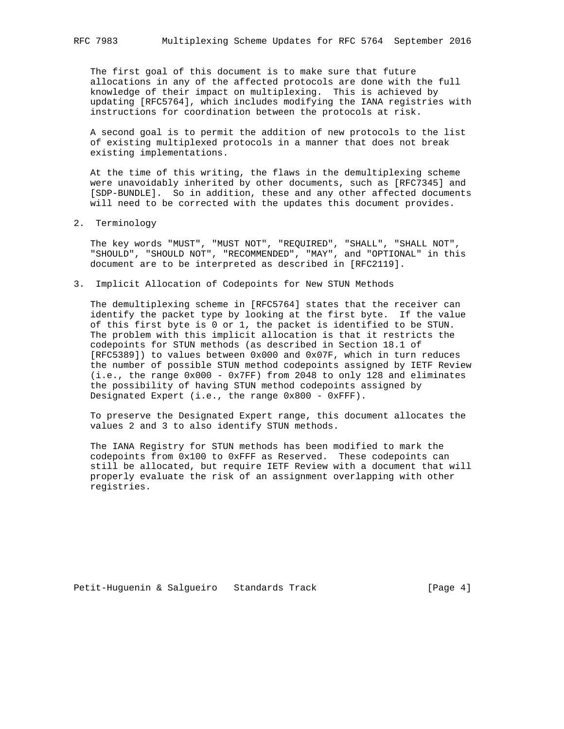The first goal of this document is to make sure that future allocations in any of the affected protocols are done with the full knowledge of their impact on multiplexing. This is achieved by updating [RFC5764], which includes modifying the IANA registries with instructions for coordination between the protocols at risk.

 A second goal is to permit the addition of new protocols to the list of existing multiplexed protocols in a manner that does not break existing implementations.

 At the time of this writing, the flaws in the demultiplexing scheme were unavoidably inherited by other documents, such as [RFC7345] and [SDP-BUNDLE]. So in addition, these and any other affected documents will need to be corrected with the updates this document provides.

2. Terminology

 The key words "MUST", "MUST NOT", "REQUIRED", "SHALL", "SHALL NOT", "SHOULD", "SHOULD NOT", "RECOMMENDED", "MAY", and "OPTIONAL" in this document are to be interpreted as described in [RFC2119].

3. Implicit Allocation of Codepoints for New STUN Methods

 The demultiplexing scheme in [RFC5764] states that the receiver can identify the packet type by looking at the first byte. If the value of this first byte is 0 or 1, the packet is identified to be STUN. The problem with this implicit allocation is that it restricts the codepoints for STUN methods (as described in Section 18.1 of [RFC5389]) to values between 0x000 and 0x07F, which in turn reduces the number of possible STUN method codepoints assigned by IETF Review (i.e., the range 0x000 - 0x7FF) from 2048 to only 128 and eliminates the possibility of having STUN method codepoints assigned by Designated Expert (i.e., the range 0x800 - 0xFFF).

 To preserve the Designated Expert range, this document allocates the values 2 and 3 to also identify STUN methods.

 The IANA Registry for STUN methods has been modified to mark the codepoints from 0x100 to 0xFFF as Reserved. These codepoints can still be allocated, but require IETF Review with a document that will properly evaluate the risk of an assignment overlapping with other registries.

Petit-Huguenin & Salgueiro Standards Track Track [Page 4]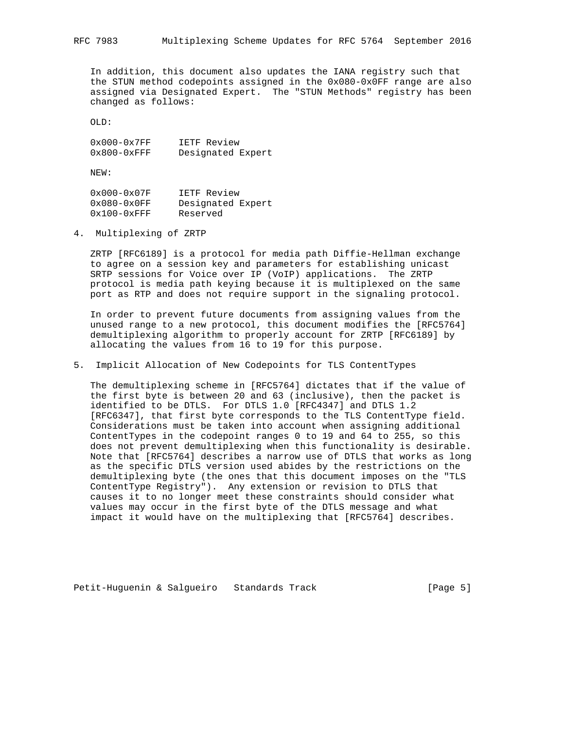In addition, this document also updates the IANA registry such that the STUN method codepoints assigned in the 0x080-0x0FF range are also assigned via Designated Expert. The "STUN Methods" registry has been changed as follows:

OLD:

 0x000-0x7FF IETF Review 0x800-0xFFF Designated Expert

NEW:

 0x000-0x07F IETF Review 0x080-0x0FF Designated Expert 0x100-0xFFF Reserved

4. Multiplexing of ZRTP

 ZRTP [RFC6189] is a protocol for media path Diffie-Hellman exchange to agree on a session key and parameters for establishing unicast SRTP sessions for Voice over IP (VoIP) applications. The ZRTP protocol is media path keying because it is multiplexed on the same port as RTP and does not require support in the signaling protocol.

 In order to prevent future documents from assigning values from the unused range to a new protocol, this document modifies the [RFC5764] demultiplexing algorithm to properly account for ZRTP [RFC6189] by allocating the values from 16 to 19 for this purpose.

5. Implicit Allocation of New Codepoints for TLS ContentTypes

 The demultiplexing scheme in [RFC5764] dictates that if the value of the first byte is between 20 and 63 (inclusive), then the packet is identified to be DTLS. For DTLS 1.0 [RFC4347] and DTLS 1.2 [RFC6347], that first byte corresponds to the TLS ContentType field. Considerations must be taken into account when assigning additional ContentTypes in the codepoint ranges 0 to 19 and 64 to 255, so this does not prevent demultiplexing when this functionality is desirable. Note that [RFC5764] describes a narrow use of DTLS that works as long as the specific DTLS version used abides by the restrictions on the demultiplexing byte (the ones that this document imposes on the "TLS ContentType Registry"). Any extension or revision to DTLS that causes it to no longer meet these constraints should consider what values may occur in the first byte of the DTLS message and what impact it would have on the multiplexing that [RFC5764] describes.

Petit-Huguenin & Salgueiro Standards Track Track [Page 5]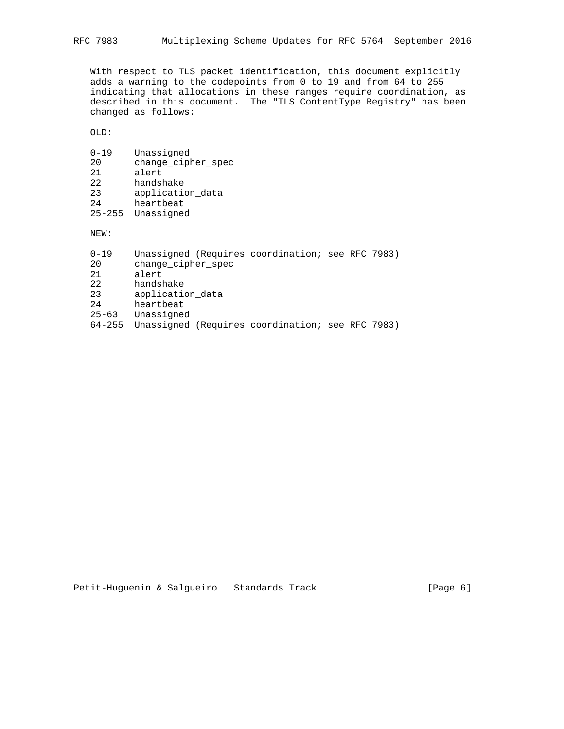With respect to TLS packet identification, this document explicitly adds a warning to the codepoints from 0 to 19 and from 64 to 255 indicating that allocations in these ranges require coordination, as described in this document. The "TLS ContentType Registry" has been changed as follows:

OLD:

| 0-19       | Unassigned         |
|------------|--------------------|
| 2.0        | change_cipher_spec |
| 2.1        | alert              |
| 2.2.       | handshake          |
| 23         | application data   |
| 2.4        | heartbeat          |
| $25 - 255$ | Unassigned         |

NEW:

| $0 - 19$   | Unassigned (Requires coordination; see RFC 7983) |
|------------|--------------------------------------------------|
| 20         | change_cipher_spec                               |
| 21         | alert                                            |
| 22         | handshake                                        |
| 23         | application data                                 |
| 2.4        | heartbeat                                        |
| $25 - 63$  | Unassigned                                       |
| $64 - 255$ | Unassigned (Requires coordination; see RFC 7983) |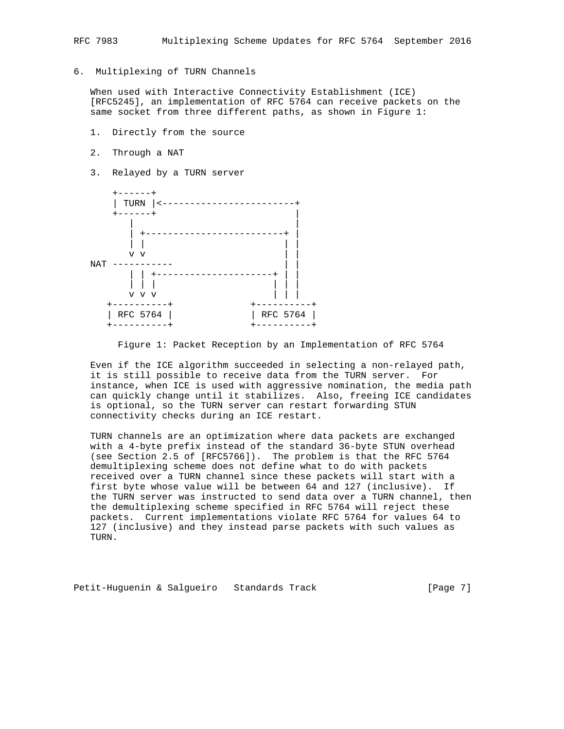# 6. Multiplexing of TURN Channels

 When used with Interactive Connectivity Establishment (ICE) [RFC5245], an implementation of RFC 5764 can receive packets on the same socket from three different paths, as shown in Figure 1:

- 1. Directly from the source
- 2. Through a NAT
- 3. Relayed by a TURN server



Figure 1: Packet Reception by an Implementation of RFC 5764

 Even if the ICE algorithm succeeded in selecting a non-relayed path, it is still possible to receive data from the TURN server. For instance, when ICE is used with aggressive nomination, the media path can quickly change until it stabilizes. Also, freeing ICE candidates is optional, so the TURN server can restart forwarding STUN connectivity checks during an ICE restart.

 TURN channels are an optimization where data packets are exchanged with a 4-byte prefix instead of the standard 36-byte STUN overhead (see Section 2.5 of [RFC5766]). The problem is that the RFC 5764 demultiplexing scheme does not define what to do with packets received over a TURN channel since these packets will start with a first byte whose value will be between 64 and 127 (inclusive). If the TURN server was instructed to send data over a TURN channel, then the demultiplexing scheme specified in RFC 5764 will reject these packets. Current implementations violate RFC 5764 for values 64 to 127 (inclusive) and they instead parse packets with such values as TURN.

Petit-Huguenin & Salgueiro Standards Track Track [Page 7]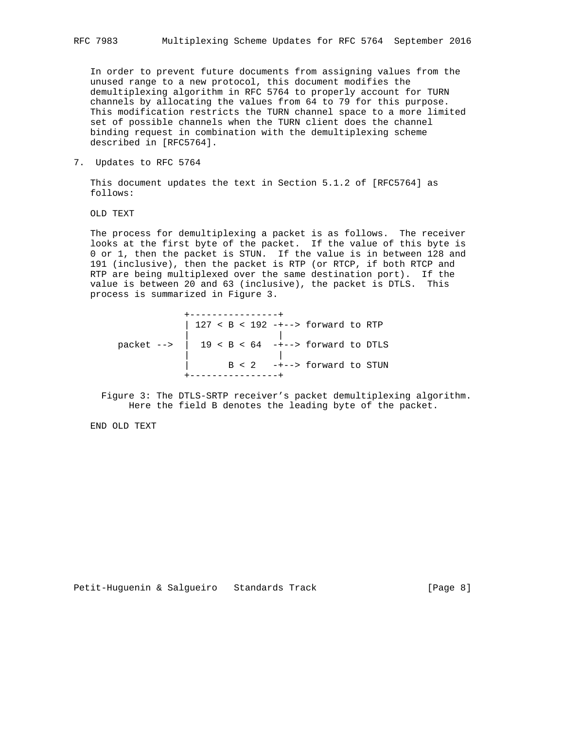In order to prevent future documents from assigning values from the unused range to a new protocol, this document modifies the demultiplexing algorithm in RFC 5764 to properly account for TURN channels by allocating the values from 64 to 79 for this purpose. This modification restricts the TURN channel space to a more limited set of possible channels when the TURN client does the channel binding request in combination with the demultiplexing scheme described in [RFC5764].

7. Updates to RFC 5764

 This document updates the text in Section 5.1.2 of [RFC5764] as follows:

OLD TEXT

 The process for demultiplexing a packet is as follows. The receiver looks at the first byte of the packet. If the value of this byte is 0 or 1, then the packet is STUN. If the value is in between 128 and 191 (inclusive), then the packet is RTP (or RTCP, if both RTCP and RTP are being multiplexed over the same destination port). If the value is between 20 and 63 (inclusive), the packet is DTLS. This process is summarized in Figure 3.

 +----------------+ | 127 < B < 192 -+--> forward to RTP | | packet --> | 19 < B < 64 -+--> forward to DTLS | |  $B < 2$  -+--> forward to STUN +----------------+

 Figure 3: The DTLS-SRTP receiver's packet demultiplexing algorithm. Here the field B denotes the leading byte of the packet.

END OLD TEXT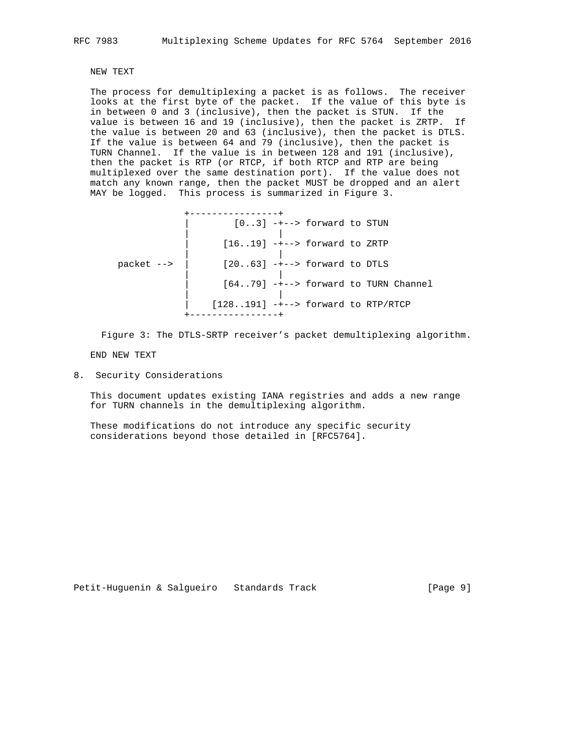# NEW TEXT

 The process for demultiplexing a packet is as follows. The receiver looks at the first byte of the packet. If the value of this byte is in between 0 and 3 (inclusive), then the packet is STUN. If the value is between 16 and 19 (inclusive), then the packet is ZRTP. If the value is between 20 and 63 (inclusive), then the packet is DTLS. If the value is between 64 and 79 (inclusive), then the packet is TURN Channel. If the value is in between 128 and 191 (inclusive), then the packet is RTP (or RTCP, if both RTCP and RTP are being multiplexed over the same destination port). If the value does not match any known range, then the packet MUST be dropped and an alert MAY be logged. This process is summarized in Figure 3.

 +----------------+  $[0..3]$  -+--> forward to STUN | | | [16..19] -+--> forward to ZRTP | | packet -->  $\left| \right|$  [20..63] ---> forward to DTLS | | | [64..79] -+--> forward to TURN Channel | | | [128..191] -+--> forward to RTP/RTCP +----------------+

Figure 3: The DTLS-SRTP receiver's packet demultiplexing algorithm.

END NEW TEXT

8. Security Considerations

 This document updates existing IANA registries and adds a new range for TURN channels in the demultiplexing algorithm.

 These modifications do not introduce any specific security considerations beyond those detailed in [RFC5764].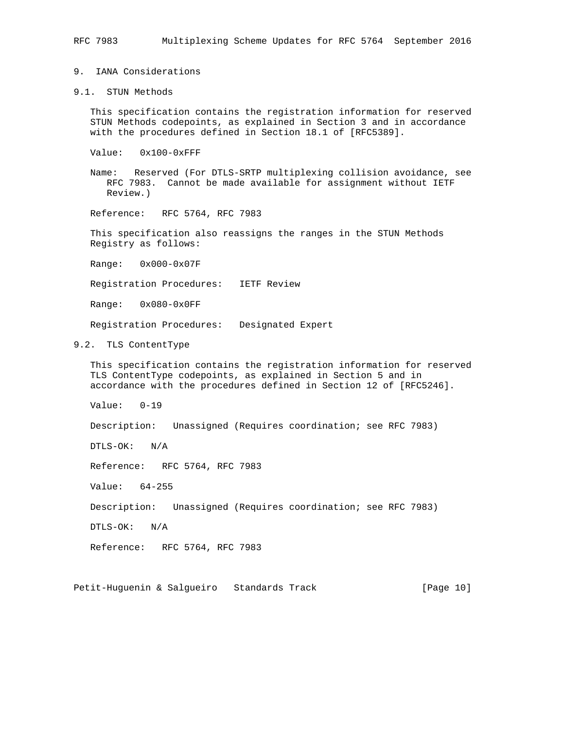### 9. IANA Considerations

9.1. STUN Methods

 This specification contains the registration information for reserved STUN Methods codepoints, as explained in Section 3 and in accordance with the procedures defined in Section 18.1 of [RFC5389].

- Value: 0x100-0xFFF
- Name: Reserved (For DTLS-SRTP multiplexing collision avoidance, see RFC 7983. Cannot be made available for assignment without IETF Review.)

Reference: RFC 5764, RFC 7983

 This specification also reassigns the ranges in the STUN Methods Registry as follows:

Range: 0x000-0x07F

Registration Procedures: IETF Review

Range: 0x080-0x0FF

Registration Procedures: Designated Expert

### 9.2. TLS ContentType

 This specification contains the registration information for reserved TLS ContentType codepoints, as explained in Section 5 and in accordance with the procedures defined in Section 12 of [RFC5246].

Value: 0-19

Description: Unassigned (Requires coordination; see RFC 7983)

DTLS-OK: N/A

Reference: RFC 5764, RFC 7983

Value: 64-255

Description: Unassigned (Requires coordination; see RFC 7983)

DTLS-OK: N/A

Reference: RFC 5764, RFC 7983

Petit-Huguenin & Salgueiro Standards Track [Page 10]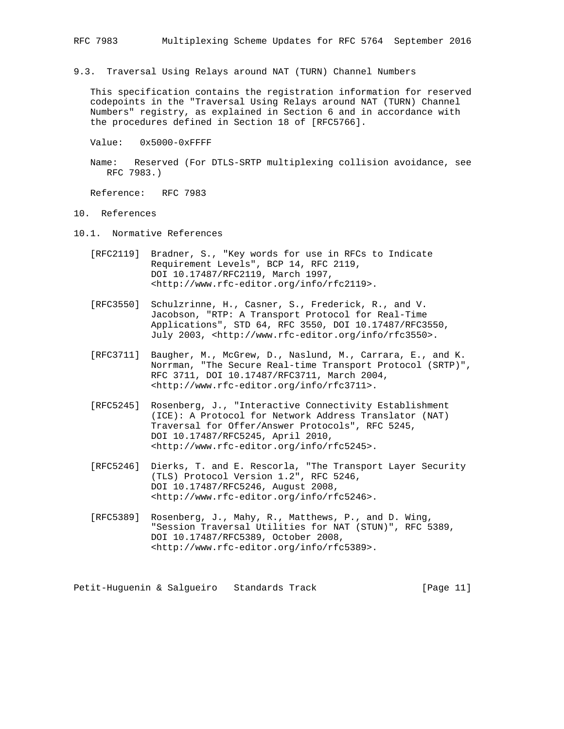9.3. Traversal Using Relays around NAT (TURN) Channel Numbers

 This specification contains the registration information for reserved codepoints in the "Traversal Using Relays around NAT (TURN) Channel Numbers" registry, as explained in Section 6 and in accordance with the procedures defined in Section 18 of [RFC5766].

Value: 0x5000-0xFFFF

 Name: Reserved (For DTLS-SRTP multiplexing collision avoidance, see RFC 7983.)

Reference: RFC 7983

- 10. References
- 10.1. Normative References
	- [RFC2119] Bradner, S., "Key words for use in RFCs to Indicate Requirement Levels", BCP 14, RFC 2119, DOI 10.17487/RFC2119, March 1997, <http://www.rfc-editor.org/info/rfc2119>.
	- [RFC3550] Schulzrinne, H., Casner, S., Frederick, R., and V. Jacobson, "RTP: A Transport Protocol for Real-Time Applications", STD 64, RFC 3550, DOI 10.17487/RFC3550, July 2003, <http://www.rfc-editor.org/info/rfc3550>.
	- [RFC3711] Baugher, M., McGrew, D., Naslund, M., Carrara, E., and K. Norrman, "The Secure Real-time Transport Protocol (SRTP)", RFC 3711, DOI 10.17487/RFC3711, March 2004, <http://www.rfc-editor.org/info/rfc3711>.
	- [RFC5245] Rosenberg, J., "Interactive Connectivity Establishment (ICE): A Protocol for Network Address Translator (NAT) Traversal for Offer/Answer Protocols", RFC 5245, DOI 10.17487/RFC5245, April 2010, <http://www.rfc-editor.org/info/rfc5245>.
	- [RFC5246] Dierks, T. and E. Rescorla, "The Transport Layer Security (TLS) Protocol Version 1.2", RFC 5246, DOI 10.17487/RFC5246, August 2008, <http://www.rfc-editor.org/info/rfc5246>.
	- [RFC5389] Rosenberg, J., Mahy, R., Matthews, P., and D. Wing, "Session Traversal Utilities for NAT (STUN)", RFC 5389, DOI 10.17487/RFC5389, October 2008, <http://www.rfc-editor.org/info/rfc5389>.

Petit-Huguenin & Salgueiro Standards Track [Page 11]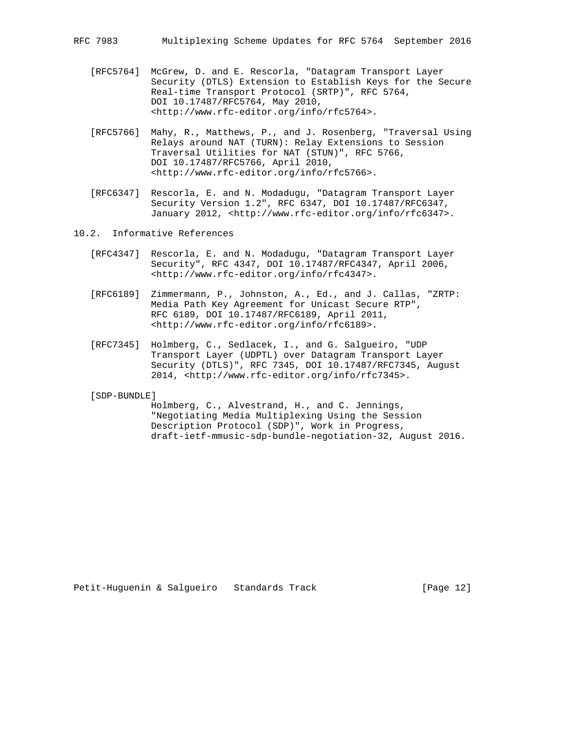- [RFC5764] McGrew, D. and E. Rescorla, "Datagram Transport Layer Security (DTLS) Extension to Establish Keys for the Secure Real-time Transport Protocol (SRTP)", RFC 5764, DOI 10.17487/RFC5764, May 2010, <http://www.rfc-editor.org/info/rfc5764>.
- [RFC5766] Mahy, R., Matthews, P., and J. Rosenberg, "Traversal Using Relays around NAT (TURN): Relay Extensions to Session Traversal Utilities for NAT (STUN)", RFC 5766, DOI 10.17487/RFC5766, April 2010, <http://www.rfc-editor.org/info/rfc5766>.
- [RFC6347] Rescorla, E. and N. Modadugu, "Datagram Transport Layer Security Version 1.2", RFC 6347, DOI 10.17487/RFC6347, January 2012, <http://www.rfc-editor.org/info/rfc6347>.
- 10.2. Informative References
	- [RFC4347] Rescorla, E. and N. Modadugu, "Datagram Transport Layer Security", RFC 4347, DOI 10.17487/RFC4347, April 2006, <http://www.rfc-editor.org/info/rfc4347>.
	- [RFC6189] Zimmermann, P., Johnston, A., Ed., and J. Callas, "ZRTP: Media Path Key Agreement for Unicast Secure RTP", RFC 6189, DOI 10.17487/RFC6189, April 2011, <http://www.rfc-editor.org/info/rfc6189>.
	- [RFC7345] Holmberg, C., Sedlacek, I., and G. Salgueiro, "UDP Transport Layer (UDPTL) over Datagram Transport Layer Security (DTLS)", RFC 7345, DOI 10.17487/RFC7345, August 2014, <http://www.rfc-editor.org/info/rfc7345>.

[SDP-BUNDLE]

 Holmberg, C., Alvestrand, H., and C. Jennings, "Negotiating Media Multiplexing Using the Session Description Protocol (SDP)", Work in Progress, draft-ietf-mmusic-sdp-bundle-negotiation-32, August 2016.